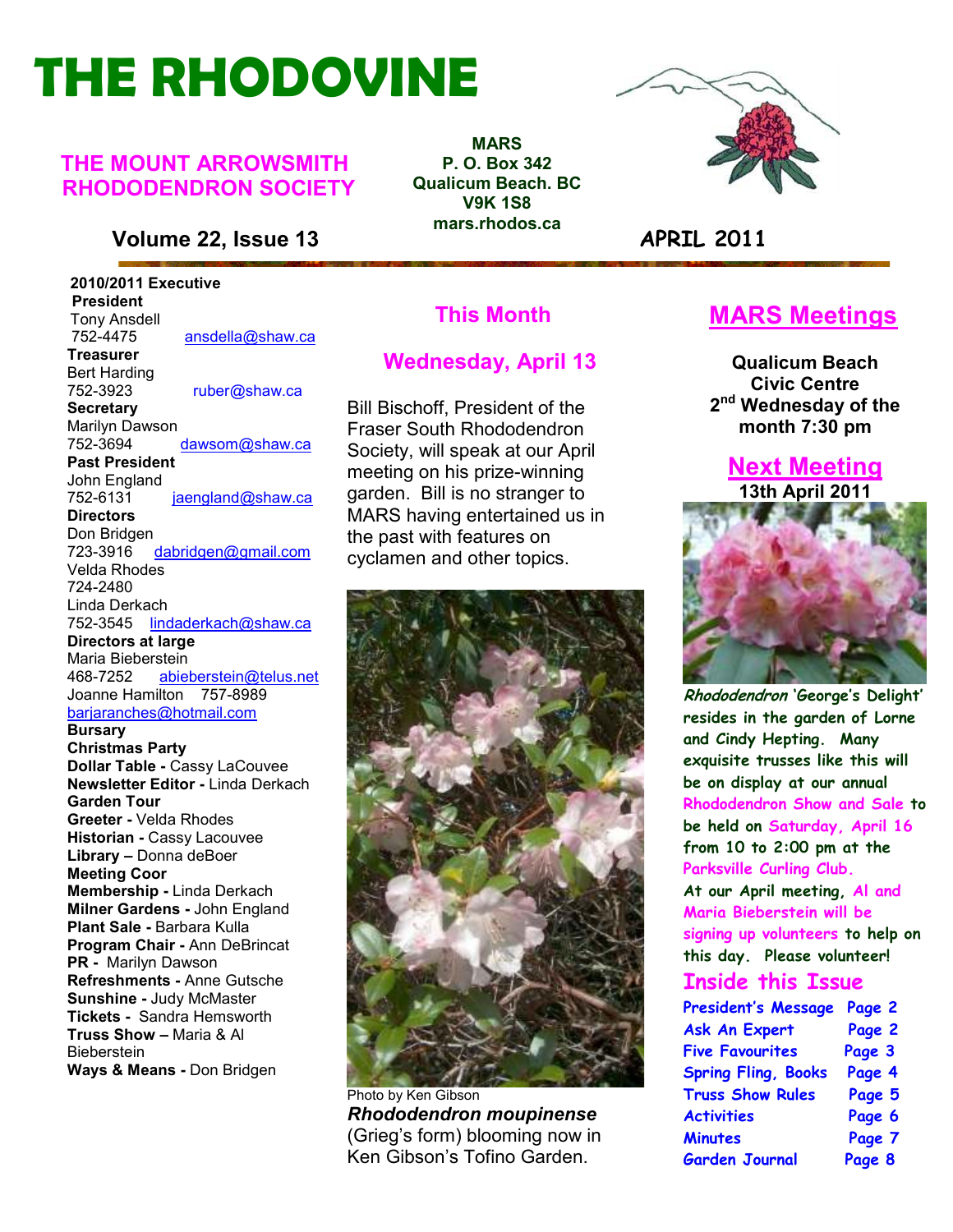# **THE RHODOVINE**

### **THE MOUNT ARROWSMITH RHODODENDRON SOCIETY**

### **Volume 22, Issue 13 APRIL 2011**

 **2010/2011 Executive President**  Tony Ansdell<br>752-4475 752-4475 ansdella@shaw.ca **Treasurer**  Bert Harding 752-3923 ruber@shaw.ca **Secretary** Marilyn Dawson<br>752-3694 dawsom@shaw.ca **Past President**  John England 752-6131 jaengland@shaw.ca **Directors**  Don Bridgen<br>723-3916 dabridgen@gmail.com Velda Rhodes 724-2480 Linda Derkach 752-3545 lindaderkach@shaw.ca **Directors at large**  Maria Bieberstein<br>468-7252 abjel abieberstein@telus.net Joanne Hamilton 757-8989 barjaranches@hotmail.com **Bursary Christmas Party Dollar Table -** Cassy LaCouvee **Newsletter Editor -** Linda Derkach **Garden Tour Greeter -** Velda Rhodes **Historian -** Cassy Lacouvee **Library –** Donna deBoer **Meeting Coor Membership -** Linda Derkach **Milner Gardens -** John England **Plant Sale -** Barbara Kulla **Program Chair -** Ann DeBrincat **PR -** Marilyn Dawson **Refreshments -** Anne Gutsche **Sunshine -** Judy McMaster **Tickets -** Sandra Hemsworth **Truss Show –** Maria & Al **Bieberstein** 

**MARS P. O. Box 342 Qualicum Beach. BC V9K 1S8 mars.rhodos.ca** 



### **This Month**

### **Wednesday, April 13**

Bill Bischoff, President of the Fraser South Rhododendron Society, will speak at our April meeting on his prize-winning garden. Bill is no stranger to MARS having entertained us in the past with features on cyclamen and other topics.



Photo by Ken Gibson *Rhododendron moupinense* (Grieg's form) blooming now in Ken Gibson's Tofino Garden.

## **MARS Meetings**

**Qualicum Beach Civic Centre 2 nd Wednesday of the month 7:30 pm** 

### **Next Meeting 13th April 2011**



**Rhododendron 'George's Delight' resides in the garden of Lorne and Cindy Hepting. Many exquisite trusses like this will be on display at our annual Rhododendron Show and Sale to be held on Saturday, April 16 from 10 to 2:00 pm at the Parksville Curling Club. At our April meeting, Al and Maria Bieberstein will be signing up volunteers to help on this day. Please volunteer!** 

### **Inside this Issue**

| <b>President's Message</b> | Page 2 |
|----------------------------|--------|
| <b>Ask An Expert</b>       | Page 2 |
| <b>Five Favourites</b>     | Page 3 |
| <b>Spring Fling, Books</b> | Page 4 |
| <b>Truss Show Rules</b>    | Page 5 |
| <b>Activities</b>          | Page 6 |
| <b>Minutes</b>             | Page 7 |
| <b>Garden Journal</b>      | Page 8 |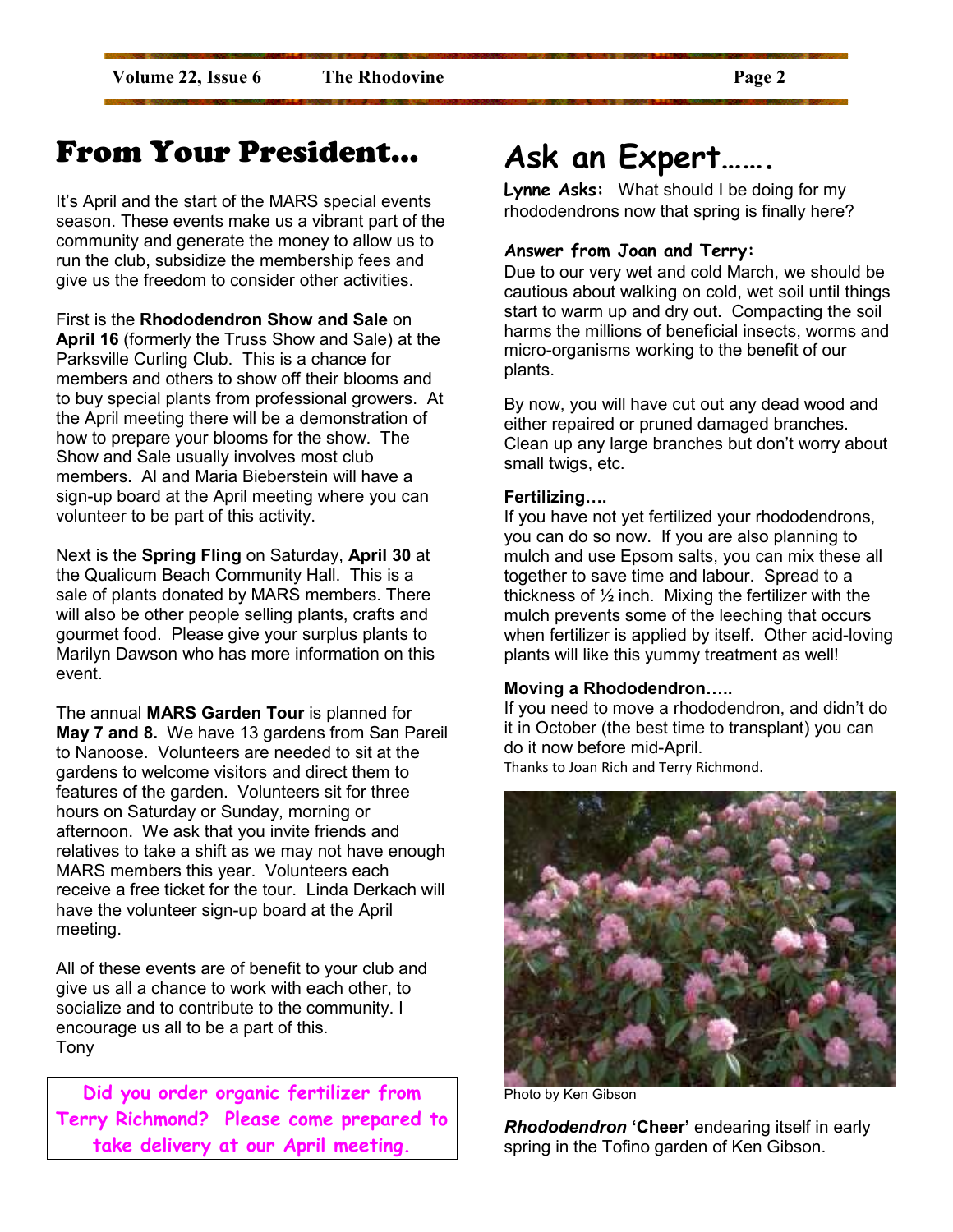## From Your President…

It's April and the start of the MARS special events season. These events make us a vibrant part of the community and generate the money to allow us to run the club, subsidize the membership fees and give us the freedom to consider other activities.

First is the **Rhododendron Show and Sale** on **April 16** (formerly the Truss Show and Sale) at the Parksville Curling Club. This is a chance for members and others to show off their blooms and to buy special plants from professional growers. At the April meeting there will be a demonstration of how to prepare your blooms for the show. The Show and Sale usually involves most club members. Al and Maria Bieberstein will have a sign-up board at the April meeting where you can volunteer to be part of this activity.

Next is the **Spring Fling** on Saturday, **April 30** at the Qualicum Beach Community Hall. This is a sale of plants donated by MARS members. There will also be other people selling plants, crafts and gourmet food. Please give your surplus plants to Marilyn Dawson who has more information on this event.

The annual **MARS Garden Tour** is planned for **May 7 and 8.** We have 13 gardens from San Pareil to Nanoose. Volunteers are needed to sit at the gardens to welcome visitors and direct them to features of the garden. Volunteers sit for three hours on Saturday or Sunday, morning or afternoon. We ask that you invite friends and relatives to take a shift as we may not have enough MARS members this year. Volunteers each receive a free ticket for the tour. Linda Derkach will have the volunteer sign-up board at the April meeting.

All of these events are of benefit to your club and give us all a chance to work with each other, to socialize and to contribute to the community. I encourage us all to be a part of this. Tony

**Did you order organic fertilizer from Terry Richmond? Please come prepared to take delivery at our April meeting.** 

## **Ask an Expert…….**

**Lynne Asks:** What should I be doing for my rhododendrons now that spring is finally here?

### **Answer from Joan and Terry:**

Due to our very wet and cold March, we should be cautious about walking on cold, wet soil until things start to warm up and dry out. Compacting the soil harms the millions of beneficial insects, worms and micro-organisms working to the benefit of our plants.

By now, you will have cut out any dead wood and either repaired or pruned damaged branches. Clean up any large branches but don't worry about small twigs, etc.

### **Fertilizing....**

If you have not yet fertilized your rhododendrons, you can do so now. If you are also planning to mulch and use Epsom salts, you can mix these all together to save time and labour. Spread to a thickness of  $\frac{1}{2}$  inch. Mixing the fertilizer with the mulch prevents some of the leeching that occurs when fertilizer is applied by itself. Other acid-loving plants will like this yummy treatment as well!

### **Moving a Rhododendron.....**

If you need to move a rhododendron, and didn't do it in October (the best time to transplant) you can do it now before mid-April. Thanks to Joan Rich and Terry Richmond.



Photo by Ken Gibson

*Rhododendron* **'Cheer'** endearing itself in early spring in the Tofino garden of Ken Gibson.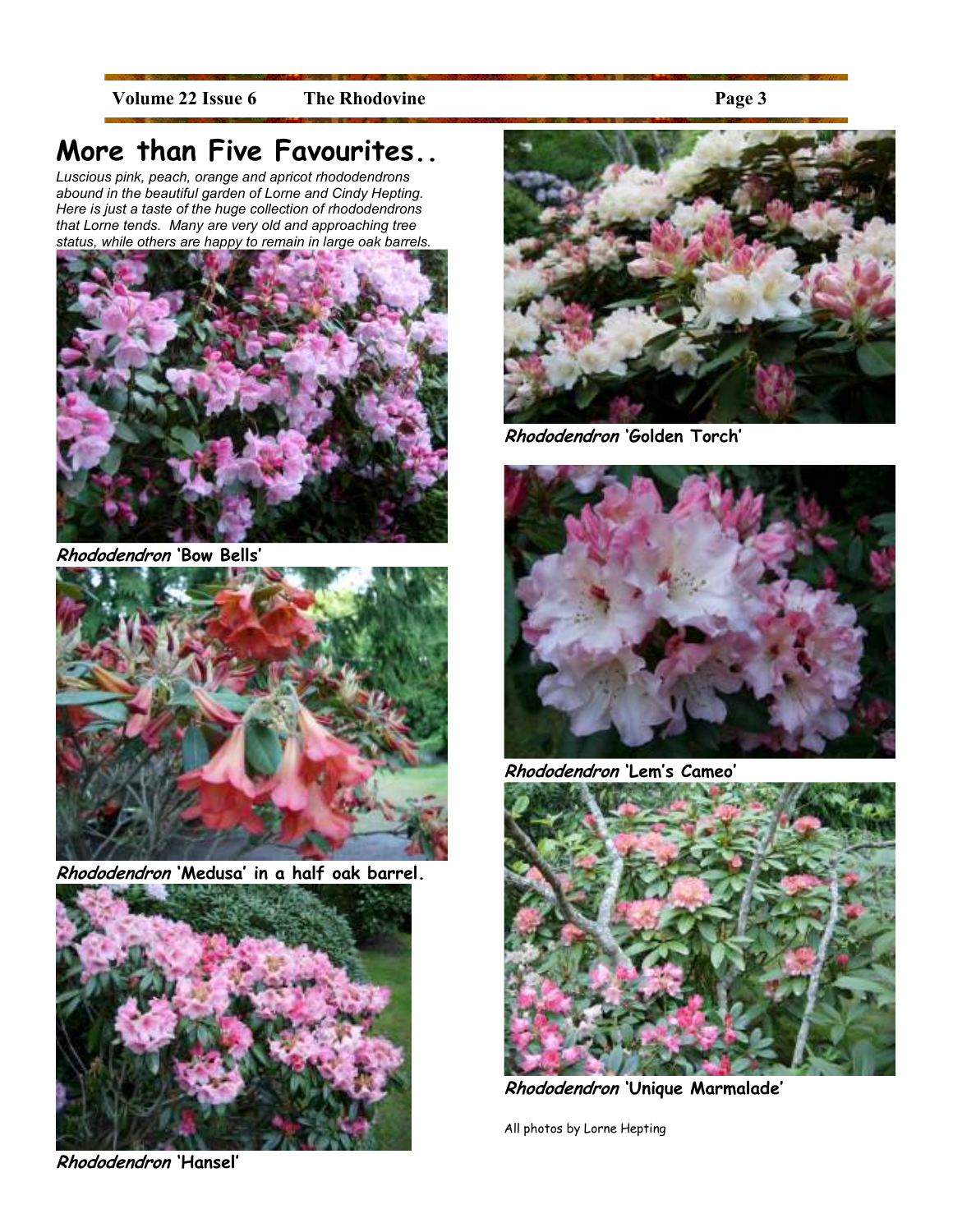Volume 22 Issue 6 The Rhodovine **Page 3** 

## **More than Five Favourites..**

*Luscious pink, peach, orange and apricot rhododendrons abound in the beautiful garden of Lorne and Cindy Hepting. Here is just a taste of the huge collection of rhododendrons that Lorne tends. Many are very old and approaching tree status, while others are happy to remain in large oak barrels.* 



**Rhododendron 'Bow Bells'**



**Rhododendron 'Medusa' in a half oak barrel.** 



**Rhododendron 'Hansel'** 



**Rhododendron 'Golden Torch'** 



**Rhododendron 'Lem's Cameo'** 



**Rhododendron 'Unique Marmalade'** 

All photos by Lorne Hepting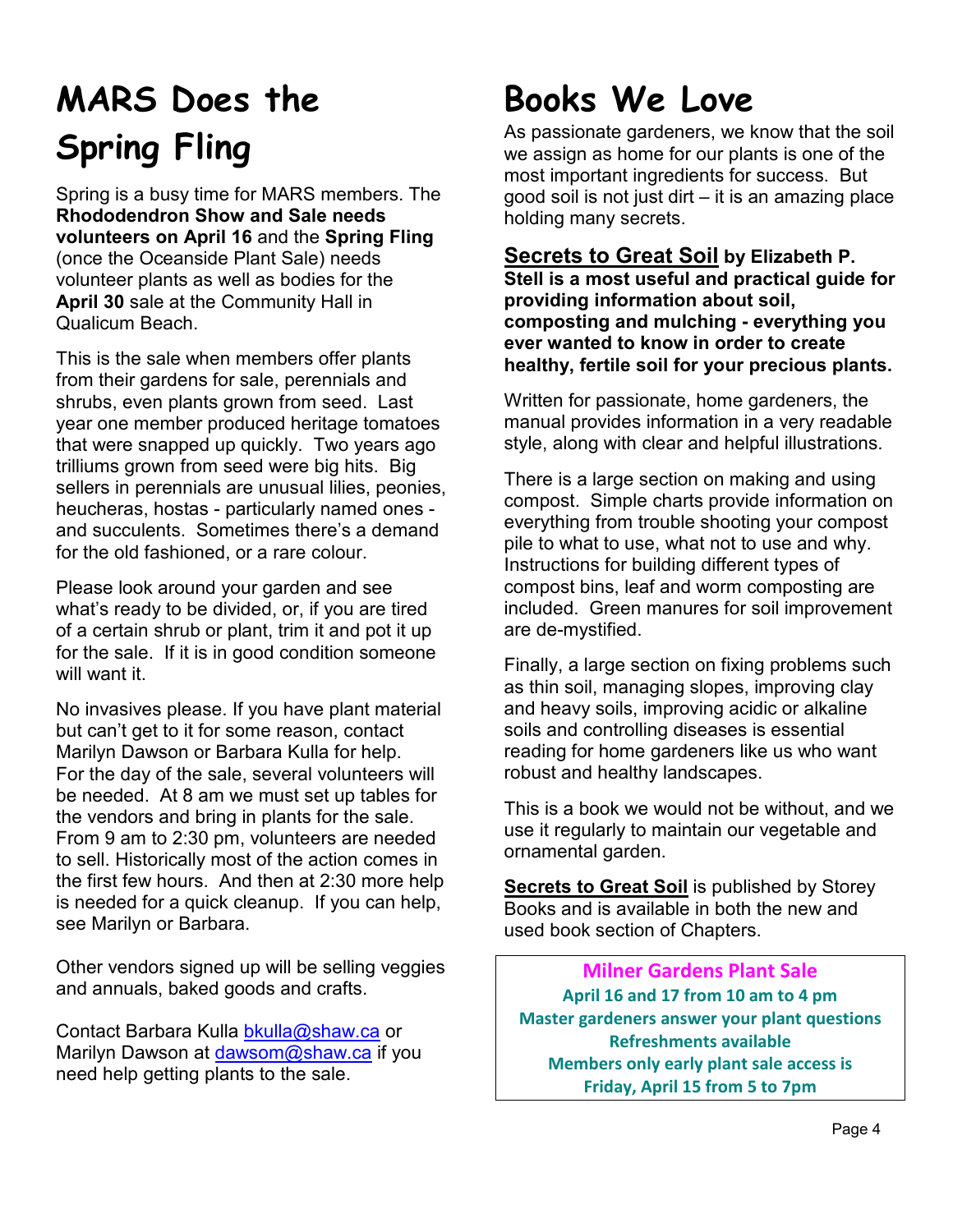# **MARS Does the Spring Fling**

Spring is a busy time for MARS members. The **Rhododendron Show and Sale needs volunteers on April 16** and the **Spring Fling** (once the Oceanside Plant Sale) needs volunteer plants as well as bodies for the **April 30** sale at the Community Hall in Qualicum Beach.

This is the sale when members offer plants from their gardens for sale, perennials and shrubs, even plants grown from seed. Last year one member produced heritage tomatoes that were snapped up quickly. Two years ago trilliums grown from seed were big hits. Big sellers in perennials are unusual lilies, peonies, heucheras, hostas - particularly named ones and succulents. Sometimes there's a demand for the old fashioned, or a rare colour.

Please look around your garden and see what's ready to be divided, or, if you are tired of a certain shrub or plant, trim it and pot it up for the sale. If it is in good condition someone will want it.

No invasives please. If you have plant material but can't get to it for some reason, contact Marilyn Dawson or Barbara Kulla for help. For the day of the sale, several volunteers will be needed. At 8 am we must set up tables for the vendors and bring in plants for the sale. From 9 am to 2:30 pm, volunteers are needed to sell. Historically most of the action comes in the first few hours. And then at 2:30 more help is needed for a quick cleanup. If you can help, see Marilyn or Barbara.

Other vendors signed up will be selling veggies and annuals, baked goods and crafts.

Contact Barbara Kulla bkulla@shaw.ca or Marilyn Dawson at dawsom@shaw.ca if you need help getting plants to the sale.

# **Books We Love**

As passionate gardeners, we know that the soil we assign as home for our plants is one of the most important ingredients for success. But good soil is not just dirt – it is an amazing place holding many secrets.

### **Secrets to Great Soil by Elizabeth P.**

**Stell is a most useful and practical guide for providing information about soil, composting and mulching - everything you ever wanted to know in order to create healthy, fertile soil for your precious plants.**

Written for passionate, home gardeners, the manual provides information in a very readable style, along with clear and helpful illustrations.

There is a large section on making and using compost. Simple charts provide information on everything from trouble shooting your compost pile to what to use, what not to use and why. Instructions for building different types of compost bins, leaf and worm composting are included. Green manures for soil improvement are de-mystified.

Finally, a large section on fixing problems such as thin soil, managing slopes, improving clay and heavy soils, improving acidic or alkaline soils and controlling diseases is essential reading for home gardeners like us who want robust and healthy landscapes.

This is a book we would not be without, and we use it regularly to maintain our vegetable and ornamental garden.

**Secrets to Great Soil** is published by Storey Books and is available in both the new and used book section of Chapters.

**Milner Gardens Plant Sale April 16 and 17 from 10 am to 4 pm Master gardeners answer your plant questions Refreshments available Members only early plant sale access is Friday, April 15 from 5 to 7pm**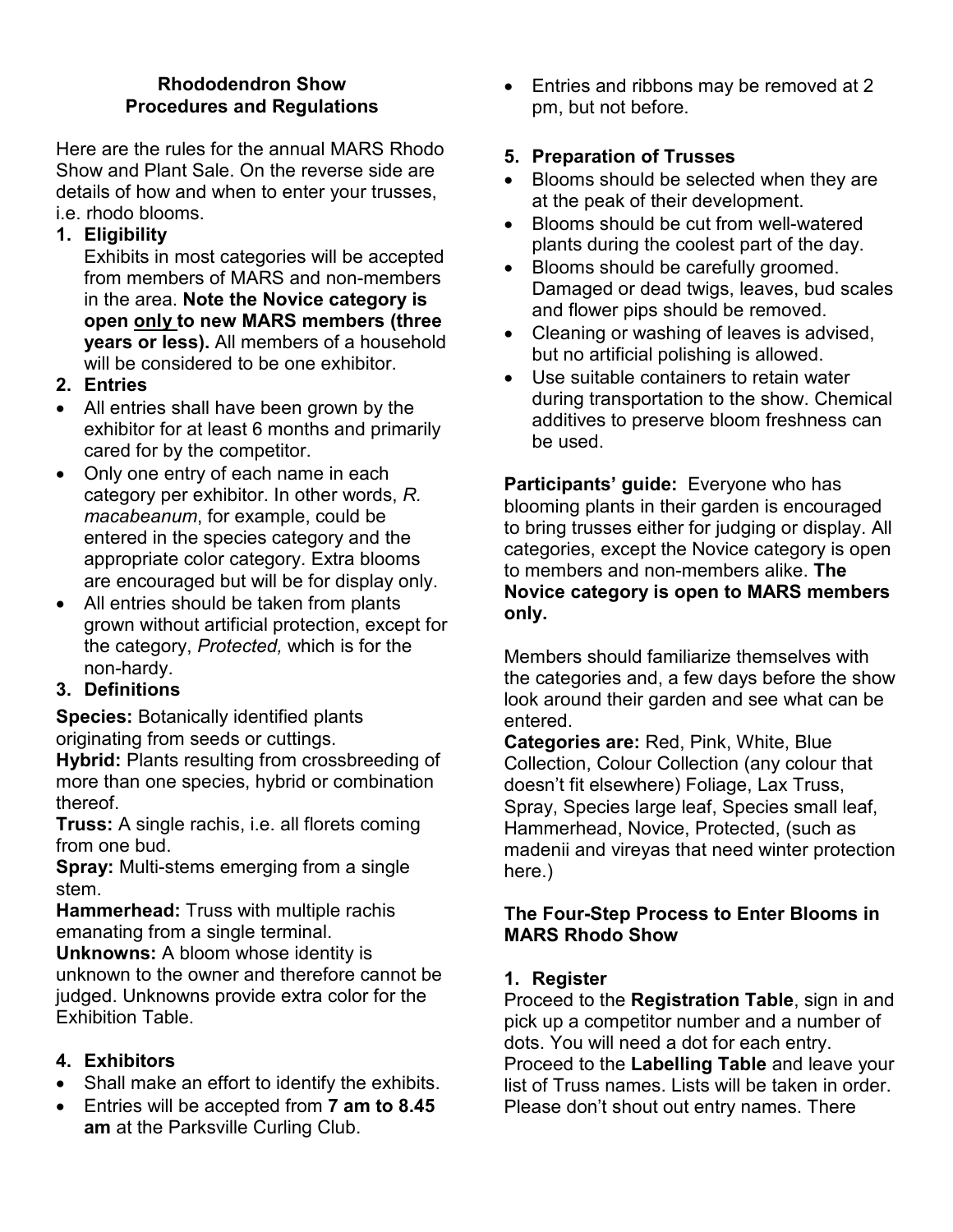### **Rhododendron Show Procedures and Regulations**

Here are the rules for the annual MARS Rhodo Show and Plant Sale. On the reverse side are details of how and when to enter your trusses, i.e. rhodo blooms.

**1. Eligibility**

Exhibits in most categories will be accepted from members of MARS and non-members in the area. **Note the Novice category is open only to new MARS members (three years or less).** All members of a household will be considered to be one exhibitor.

- **2. Entries**
- All entries shall have been grown by the exhibitor for at least 6 months and primarily cared for by the competitor.
- Only one entry of each name in each category per exhibitor. In other words, *R. macabeanum*, for example, could be entered in the species category and the appropriate color category. Extra blooms are encouraged but will be for display only.
- All entries should be taken from plants grown without artificial protection, except for the category, *Protected,* which is for the non-hardy.

### **3. Definitions**

**Species:** Botanically identified plants originating from seeds or cuttings.

**Hybrid:** Plants resulting from crossbreeding of more than one species, hybrid or combination thereof.

**Truss:** A single rachis, i.e. all florets coming from one bud.

**Spray:** Multi-stems emerging from a single stem.

**Hammerhead:** Truss with multiple rachis emanating from a single terminal.

**Unknowns:** A bloom whose identity is unknown to the owner and therefore cannot be judged. Unknowns provide extra color for the Exhibition Table.

### **4. Exhibitors**

- Shall make an effort to identify the exhibits.
- Entries will be accepted from **7 am to 8.45 am** at the Parksville Curling Club.

• Entries and ribbons may be removed at 2 pm, but not before.

### **5. Preparation of Trusses**

- Blooms should be selected when they are at the peak of their development.
- Blooms should be cut from well-watered plants during the coolest part of the day.
- Blooms should be carefully groomed. Damaged or dead twigs, leaves, bud scales and flower pips should be removed.
- Cleaning or washing of leaves is advised, but no artificial polishing is allowed.
- Use suitable containers to retain water during transportation to the show. Chemical additives to preserve bloom freshness can be used.

**Participants' guide:** Everyone who has blooming plants in their garden is encouraged to bring trusses either for judging or display. All categories, except the Novice category is open to members and non-members alike. **The Novice category is open to MARS members only.** 

Members should familiarize themselves with the categories and, a few days before the show look around their garden and see what can be entered.

**Categories are:** Red, Pink, White, Blue Collection, Colour Collection (any colour that doesn't fit elsewhere) Foliage, Lax Truss, Spray, Species large leaf, Species small leaf, Hammerhead, Novice, Protected, (such as madenii and vireyas that need winter protection here.)

### **The Four-Step Process to Enter Blooms in MARS Rhodo Show**

### **1. Register**

Proceed to the **Registration Table**, sign in and pick up a competitor number and a number of dots. You will need a dot for each entry. Proceed to the **Labelling Table** and leave your list of Truss names. Lists will be taken in order. Please don't shout out entry names. There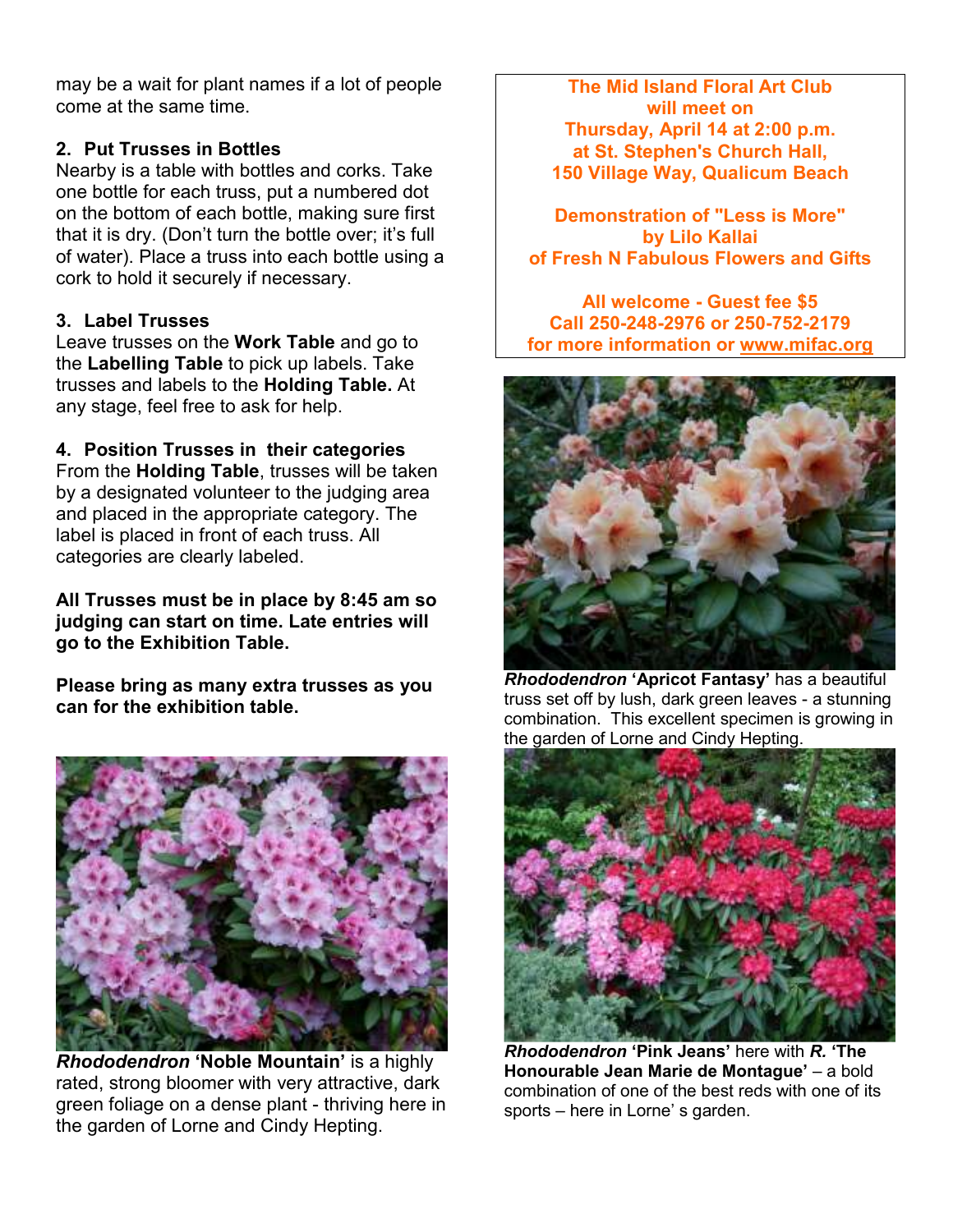may be a wait for plant names if a lot of people come at the same time.

### **2. Put Trusses in Bottles**

Nearby is a table with bottles and corks. Take one bottle for each truss, put a numbered dot on the bottom of each bottle, making sure first that it is dry. (Don't turn the bottle over; it's full of water). Place a truss into each bottle using a cork to hold it securely if necessary.

### **3. Label Trusses**

Leave trusses on the **Work Table** and go to the **Labelling Table** to pick up labels. Take trusses and labels to the **Holding Table.** At any stage, feel free to ask for help.

**4. Position Trusses in their categories** 

From the **Holding Table**, trusses will be taken by a designated volunteer to the judging area and placed in the appropriate category. The label is placed in front of each truss. All categories are clearly labeled.

**All Trusses must be in place by 8:45 am so judging can start on time. Late entries will go to the Exhibition Table.** 

**Please bring as many extra trusses as you can for the exhibition table.** 



*Rhododendron* **'Noble Mountain'** is a highly rated, strong bloomer with very attractive, dark green foliage on a dense plant - thriving here in the garden of Lorne and Cindy Hepting.

**The Mid Island Floral Art Club will meet on Thursday, April 14 at 2:00 p.m. at St. Stephen's Church Hall, 150 Village Way, Qualicum Beach** 

**Demonstration of "Less is More" by Lilo Kallai of Fresh N Fabulous Flowers and Gifts** 

**All welcome - Guest fee \$5 Call 250-248-2976 or 250-752-2179 for more information or www.mifac.org** 



*Rhododendron* **'Apricot Fantasy'** has a beautiful truss set off by lush, dark green leaves - a stunning combination. This excellent specimen is growing in the garden of Lorne and Cindy Hepting.



*Rhododendron* **'Pink Jeans'** here with *R.* **'The Honourable Jean Marie de Montague'** – a bold combination of one of the best reds with one of its sports – here in Lorne' s garden.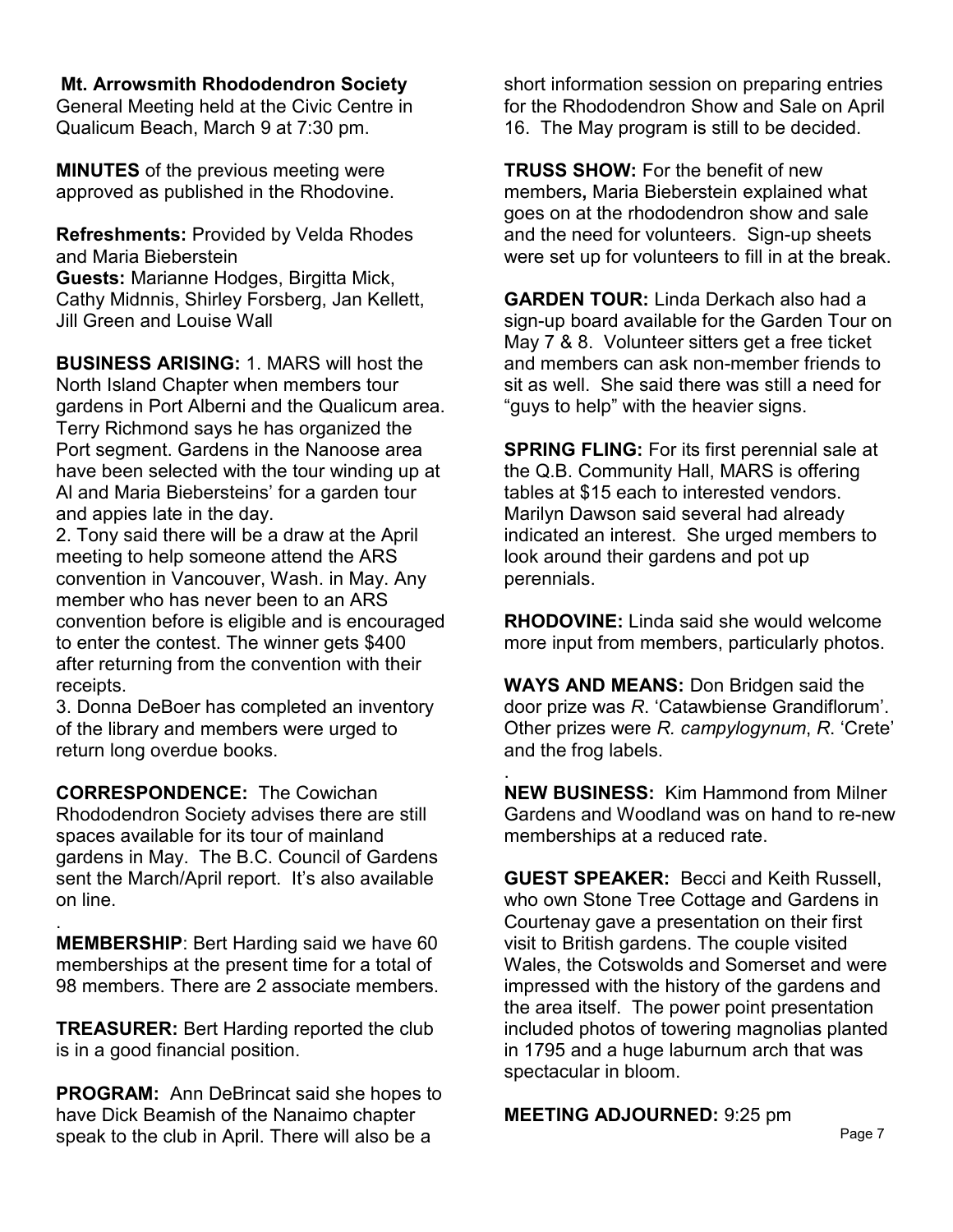**Mt. Arrowsmith Rhododendron Society** 

General Meeting held at the Civic Centre in Qualicum Beach, March 9 at 7:30 pm.

**MINUTES** of the previous meeting were approved as published in the Rhodovine.

**Refreshments:** Provided by Velda Rhodes and Maria Bieberstein **Guests:** Marianne Hodges, Birgitta Mick, Cathy Midnnis, Shirley Forsberg, Jan Kellett, Jill Green and Louise Wall

**BUSINESS ARISING:** 1. MARS will host the North Island Chapter when members tour gardens in Port Alberni and the Qualicum area. Terry Richmond says he has organized the Port segment. Gardens in the Nanoose area have been selected with the tour winding up at Al and Maria Biebersteins' for a garden tour and appies late in the day.

2. Tony said there will be a draw at the April meeting to help someone attend the ARS convention in Vancouver, Wash. in May. Any member who has never been to an ARS convention before is eligible and is encouraged to enter the contest. The winner gets \$400 after returning from the convention with their receipts.

3. Donna DeBoer has completed an inventory of the library and members were urged to return long overdue books.

**CORRESPONDENCE:** The Cowichan Rhododendron Society advises there are still spaces available for its tour of mainland gardens in May. The B.C. Council of Gardens sent the March/April report. It's also available on line.

. **MEMBERSHIP**: Bert Harding said we have 60 memberships at the present time for a total of 98 members. There are 2 associate members.

**TREASURER:** Bert Harding reported the club is in a good financial position.

**PROGRAM:** Ann DeBrincat said she hopes to have Dick Beamish of the Nanaimo chapter speak to the club in April. There will also be a

short information session on preparing entries for the Rhododendron Show and Sale on April 16. The May program is still to be decided.

**TRUSS SHOW:** For the benefit of new members**,** Maria Bieberstein explained what goes on at the rhododendron show and sale and the need for volunteers. Sign-up sheets were set up for volunteers to fill in at the break.

**GARDEN TOUR:** Linda Derkach also had a sign-up board available for the Garden Tour on May 7 & 8. Volunteer sitters get a free ticket and members can ask non-member friends to sit as well. She said there was still a need for "guys to help" with the heavier signs.

**SPRING FLING:** For its first perennial sale at the Q.B. Community Hall, MARS is offering tables at \$15 each to interested vendors. Marilyn Dawson said several had already indicated an interest. She urged members to look around their gardens and pot up perennials.

**RHODOVINE:** Linda said she would welcome more input from members, particularly photos.

**WAYS AND MEANS:** Don Bridgen said the door prize was *R*. 'Catawbiense Grandiflorum'. Other prizes were *R. campylogynum*, *R*. 'Crete' and the frog labels.

. **NEW BUSINESS:** Kim Hammond from Milner Gardens and Woodland was on hand to re-new memberships at a reduced rate.

**GUEST SPEAKER:** Becci and Keith Russell, who own Stone Tree Cottage and Gardens in Courtenay gave a presentation on their first visit to British gardens. The couple visited Wales, the Cotswolds and Somerset and were impressed with the history of the gardens and the area itself. The power point presentation included photos of towering magnolias planted in 1795 and a huge laburnum arch that was spectacular in bloom.

**MEETING ADJOURNED:** 9:25 pm